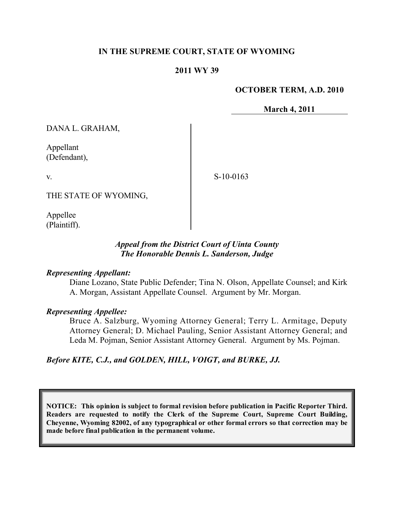### **IN THE SUPREME COURT, STATE OF WYOMING**

### **2011 WY 39**

#### **OCTOBER TERM, A.D. 2010**

**March 4, 2011**

DANA L. GRAHAM,

Appellant (Defendant),

v.

S-10-0163

THE STATE OF WYOMING,

Appellee (Plaintiff).

## *Appeal from the District Court of Uinta County The Honorable Dennis L. Sanderson, Judge*

### *Representing Appellant:*

Diane Lozano, State Public Defender; Tina N. Olson, Appellate Counsel; and Kirk A. Morgan, Assistant Appellate Counsel. Argument by Mr. Morgan.

### *Representing Appellee:*

Bruce A. Salzburg, Wyoming Attorney General; Terry L. Armitage, Deputy Attorney General; D. Michael Pauling, Senior Assistant Attorney General; and Leda M. Pojman, Senior Assistant Attorney General. Argument by Ms. Pojman.

*Before KITE, C.J., and GOLDEN, HILL, VOIGT, and BURKE, JJ.*

**NOTICE: This opinion is subject to formal revision before publication in Pacific Reporter Third. Readers are requested to notify the Clerk of the Supreme Court, Supreme Court Building, Cheyenne, Wyoming 82002, of any typographical or other formal errors so that correction may be made before final publication in the permanent volume.**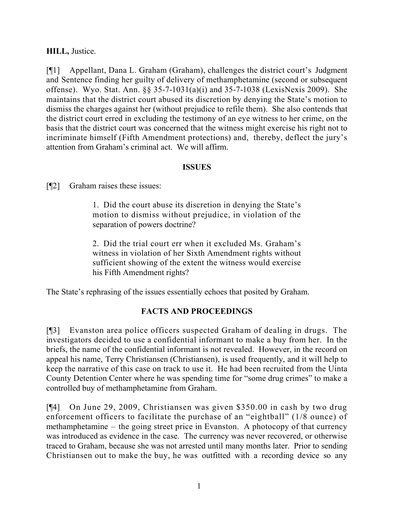## **HILL,** Justice.

[¶1] Appellant, Dana L. Graham (Graham), challenges the district court's Judgment and Sentence finding her guilty of delivery of methamphetamine (second or subsequent offense). Wyo. Stat. Ann. §§ 35-7-1031(a)(i) and 35-7-1038 (LexisNexis 2009). She maintains that the district court abused its discretion by denying the State's motion to dismiss the charges against her (without prejudice to refile them). She also contends that the district court erred in excluding the testimony of an eye witness to her crime, on the basis that the district court was concerned that the witness might exercise his right not to incriminate himself (Fifth Amendment protections) and, thereby, deflect the jury's attention from Graham's criminal act. We will affirm.

### **ISSUES**

[¶2] Graham raises these issues:

1. Did the court abuse its discretion in denying the State's motion to dismiss without prejudice, in violation of the separation of powers doctrine?

2. Did the trial court err when it excluded Ms. Graham's witness in violation of her Sixth Amendment rights without sufficient showing of the extent the witness would exercise his Fifth Amendment rights?

The State's rephrasing of the issues essentially echoes that posited by Graham.

# **FACTS AND PROCEEDINGS**

[¶3] Evanston area police officers suspected Graham of dealing in drugs. The investigators decided to use a confidential informant to make a buy from her. In the briefs, the name of the confidential informant is not revealed. However, in the record on appeal his name, Terry Christiansen (Christiansen), is used frequently, and it will help to keep the narrative of this case on track to use it. He had been recruited from the Uinta County Detention Center where he was spending time for "some drug crimes" to make a controlled buy of methamphetamine from Graham.

[¶4] On June 29, 2009, Christiansen was given \$350.00 in cash by two drug enforcement officers to facilitate the purchase of an "eightball" (1/8 ounce) of methamphetamine – the going street price in Evanston. A photocopy of that currency was introduced as evidence in the case. The currency was never recovered, or otherwise traced to Graham, because she was not arrested until many months later. Prior to sending Christiansen out to make the buy, he was outfitted with a recording device so any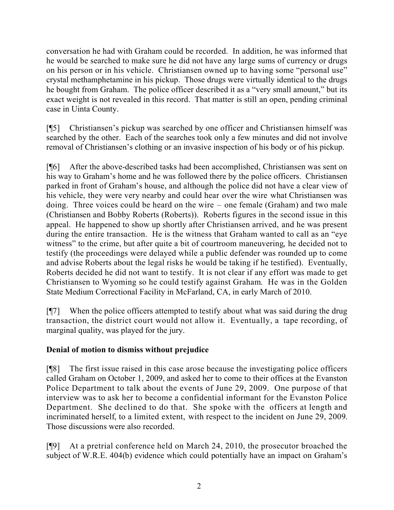conversation he had with Graham could be recorded. In addition, he was informed that he would be searched to make sure he did not have any large sums of currency or drugs on his person or in his vehicle. Christiansen owned up to having some "personal use" crystal methamphetamine in his pickup. Those drugs were virtually identical to the drugs he bought from Graham. The police officer described it as a "very small amount," but its exact weight is not revealed in this record. That matter is still an open, pending criminal case in Uinta County.

[¶5] Christiansen's pickup was searched by one officer and Christiansen himself was searched by the other. Each of the searches took only a few minutes and did not involve removal of Christiansen's clothing or an invasive inspection of his body or of his pickup.

[¶6] After the above-described tasks had been accomplished, Christiansen was sent on his way to Graham's home and he was followed there by the police officers. Christiansen parked in front of Graham's house, and although the police did not have a clear view of his vehicle, they were very nearby and could hear over the wire what Christiansen was doing. Three voices could be heard on the wire – one female (Graham) and two male (Christiansen and Bobby Roberts (Roberts)). Roberts figures in the second issue in this appeal. He happened to show up shortly after Christiansen arrived, and he was present during the entire transaction. He is the witness that Graham wanted to call as an "eye witness" to the crime, but after quite a bit of courtroom maneuvering, he decided not to testify (the proceedings were delayed while a public defender was rounded up to come and advise Roberts about the legal risks he would be taking if he testified). Eventually, Roberts decided he did not want to testify. It is not clear if any effort was made to get Christiansen to Wyoming so he could testify against Graham. He was in the Golden State Medium Correctional Facility in McFarland, CA, in early March of 2010.

[¶7] When the police officers attempted to testify about what was said during the drug transaction, the district court would not allow it. Eventually, a tape recording, of marginal quality, was played for the jury.

# **Denial of motion to dismiss without prejudice**

[¶8] The first issue raised in this case arose because the investigating police officers called Graham on October 1, 2009, and asked her to come to their offices at the Evanston Police Department to talk about the events of June 29, 2009. One purpose of that interview was to ask her to become a confidential informant for the Evanston Police Department. She declined to do that. She spoke with the officers at length and incriminated herself, to a limited extent, with respect to the incident on June 29, 2009. Those discussions were also recorded.

[¶9] At a pretrial conference held on March 24, 2010, the prosecutor broached the subject of W.R.E. 404(b) evidence which could potentially have an impact on Graham's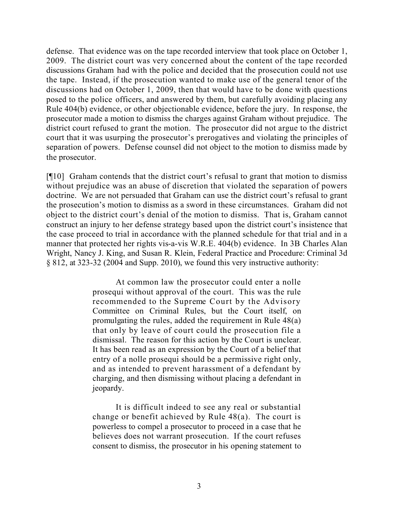defense. That evidence was on the tape recorded interview that took place on October 1, 2009. The district court was very concerned about the content of the tape recorded discussions Graham had with the police and decided that the prosecution could not use the tape. Instead, if the prosecution wanted to make use of the general tenor of the discussions had on October 1, 2009, then that would have to be done with questions posed to the police officers, and answered by them, but carefully avoiding placing any Rule 404(b) evidence, or other objectionable evidence, before the jury. In response, the prosecutor made a motion to dismiss the charges against Graham without prejudice. The district court refused to grant the motion. The prosecutor did not argue to the district court that it was usurping the prosecutor's prerogatives and violating the principles of separation of powers. Defense counsel did not object to the motion to dismiss made by the prosecutor.

[¶10] Graham contends that the district court's refusal to grant that motion to dismiss without prejudice was an abuse of discretion that violated the separation of powers doctrine. We are not persuaded that Graham can use the district court's refusal to grant the prosecution's motion to dismiss as a sword in these circumstances. Graham did not object to the district court's denial of the motion to dismiss. That is, Graham cannot construct an injury to her defense strategy based upon the district court's insistence that the case proceed to trial in accordance with the planned schedule for that trial and in a manner that protected her rights vis-a-vis W.R.E. 404(b) evidence. In 3B Charles Alan Wright, Nancy J. King, and Susan R. Klein, Federal Practice and Procedure: Criminal 3d § 812, at 323-32 (2004 and Supp. 2010), we found this very instructive authority:

> At common law the prosecutor could enter a nolle prosequi without approval of the court. This was the rule recommended to the Supreme Court by the Advisory Committee on Criminal Rules, but the Court itself, on promulgating the rules, added the requirement in Rule 48(a) that only by leave of court could the prosecution file a dismissal. The reason for this action by the Court is unclear. It has been read as an expression by the Court of a belief that entry of a nolle prosequi should be a permissive right only, and as intended to prevent harassment of a defendant by charging, and then dismissing without placing a defendant in jeopardy.

> It is difficult indeed to see any real or substantial change or benefit achieved by Rule 48(a). The court is powerless to compel a prosecutor to proceed in a case that he believes does not warrant prosecution. If the court refuses consent to dismiss, the prosecutor in his opening statement to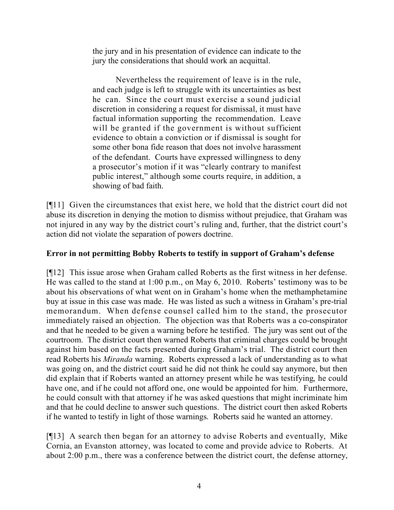the jury and in his presentation of evidence can indicate to the jury the considerations that should work an acquittal.

Nevertheless the requirement of leave is in the rule, and each judge is left to struggle with its uncertainties as best he can. Since the court must exercise a sound judicial discretion in considering a request for dismissal, it must have factual information supporting the recommendation. Leave will be granted if the government is without sufficient evidence to obtain a conviction or if dismissal is sought for some other bona fide reason that does not involve harassment of the defendant. Courts have expressed willingness to deny a prosecutor's motion if it was "clearly contrary to manifest public interest," although some courts require, in addition, a showing of bad faith.

[¶11] Given the circumstances that exist here, we hold that the district court did not abuse its discretion in denying the motion to dismiss without prejudice, that Graham was not injured in any way by the district court's ruling and, further, that the district court's action did not violate the separation of powers doctrine.

# **Error in not permitting Bobby Roberts to testify in support of Graham's defense**

[¶12] This issue arose when Graham called Roberts as the first witness in her defense. He was called to the stand at 1:00 p.m., on May 6, 2010. Roberts' testimony was to be about his observations of what went on in Graham's home when the methamphetamine buy at issue in this case was made. He was listed as such a witness in Graham's pre-trial memorandum. When defense counsel called him to the stand, the prosecutor immediately raised an objection. The objection was that Roberts was a co-conspirator and that he needed to be given a warning before he testified. The jury was sent out of the courtroom. The district court then warned Roberts that criminal charges could be brought against him based on the facts presented during Graham's trial. The district court then read Roberts his *Miranda* warning. Roberts expressed a lack of understanding as to what was going on, and the district court said he did not think he could say anymore, but then did explain that if Roberts wanted an attorney present while he was testifying, he could have one, and if he could not afford one, one would be appointed for him. Furthermore, he could consult with that attorney if he was asked questions that might incriminate him and that he could decline to answer such questions. The district court then asked Roberts if he wanted to testify in light of those warnings. Roberts said he wanted an attorney.

[¶13] A search then began for an attorney to advise Roberts and eventually, Mike Cornia, an Evanston attorney, was located to come and provide advice to Roberts. At about 2:00 p.m., there was a conference between the district court, the defense attorney,